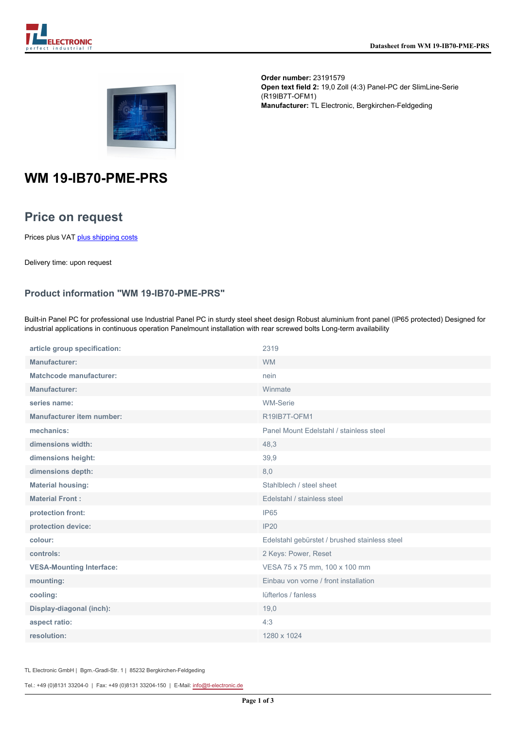



**Order number:** 23191579 **Open text field 2:** 19,0 Zoll (4:3) Panel-PC der SlimLine-Serie (R19IB7T-OFM1) **Manufacturer:** TL Electronic, Bergkirchen-Feldgeding

# **WM 19-IB70-PME-PRS**

## **Price on request**

Prices plus VAT [plus shipping costs](https://www.tl-electronic.com/payment/dispatch)

Delivery time: upon request

### **Product information "WM 19-IB70-PME-PRS"**

Built-in Panel PC for professional use Industrial Panel PC in sturdy steel sheet design Robust aluminium front panel (IP65 protected) Designed for industrial applications in continuous operation Panelmount installation with rear screwed bolts Long-term availability

| article group specification:     | 2319                                          |
|----------------------------------|-----------------------------------------------|
| Manufacturer:                    | <b>WM</b>                                     |
| <b>Matchcode manufacturer:</b>   | nein                                          |
| <b>Manufacturer:</b>             | Winmate                                       |
| series name:                     | <b>WM-Serie</b>                               |
| <b>Manufacturer item number:</b> | R19IB7T-OFM1                                  |
| mechanics:                       | Panel Mount Edelstahl / stainless steel       |
| dimensions width:                | 48,3                                          |
| dimensions height:               | 39,9                                          |
| dimensions depth:                | 8,0                                           |
| <b>Material housing:</b>         | Stahlblech / steel sheet                      |
| <b>Material Front:</b>           | Edelstahl / stainless steel                   |
| protection front:                | IP <sub>65</sub>                              |
| protection device:               | <b>IP20</b>                                   |
| colour:                          | Edelstahl gebürstet / brushed stainless steel |
| controls:                        | 2 Keys: Power, Reset                          |
| <b>VESA-Mounting Interface:</b>  | VESA 75 x 75 mm, 100 x 100 mm                 |
| mounting:                        | Einbau von vorne / front installation         |
| cooling:                         | lüfterlos / fanless                           |
| Display-diagonal (inch):         | 19,0                                          |
| aspect ratio:                    | 4:3                                           |
| resolution:                      | 1280 x 1024                                   |

TL Electronic GmbH | Bgm.-Gradl-Str. 1 | 85232 Bergkirchen-Feldgeding

Tel.: +49 (0)8131 33204-0 | Fax: +49 (0)8131 33204-150 | E-Mail: [info@tl-electronic.de](mailto:info@tl-electronic.de)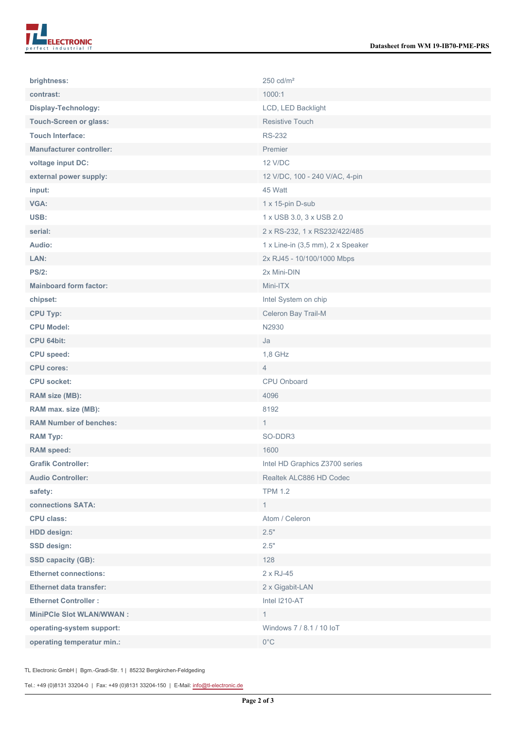| brightness:                     | $250 \text{ cd/m}^2$              |
|---------------------------------|-----------------------------------|
| contrast:                       | 1000:1                            |
| Display-Technology:             | LCD, LED Backlight                |
| <b>Touch-Screen or glass:</b>   | <b>Resistive Touch</b>            |
| <b>Touch Interface:</b>         | <b>RS-232</b>                     |
| <b>Manufacturer controller:</b> | Premier                           |
| voltage input DC:               | <b>12 V/DC</b>                    |
| external power supply:          | 12 V/DC, 100 - 240 V/AC, 4-pin    |
| input:                          | 45 Watt                           |
| <b>VGA:</b>                     | 1 x 15-pin D-sub                  |
| USB:                            | 1 x USB 3.0, 3 x USB 2.0          |
| serial:                         | 2 x RS-232, 1 x RS232/422/485     |
| Audio:                          | 1 x Line-in (3,5 mm), 2 x Speaker |
| LAN:                            | 2x RJ45 - 10/100/1000 Mbps        |
| <b>PS/2:</b>                    | 2x Mini-DIN                       |
| <b>Mainboard form factor:</b>   | Mini-ITX                          |
| chipset:                        | Intel System on chip              |
| <b>CPU Typ:</b>                 | Celeron Bay Trail-M               |
| <b>CPU Model:</b>               | N2930                             |
| CPU 64bit:                      | Ja                                |
| <b>CPU</b> speed:               | 1,8 GHz                           |
| <b>CPU cores:</b>               | $\overline{4}$                    |
| <b>CPU socket:</b>              | CPU Onboard                       |
| RAM size (MB):                  | 4096                              |
| RAM max. size (MB):             | 8192                              |
| <b>RAM Number of benches:</b>   | $\mathbf{1}$                      |
| <b>RAM Typ:</b>                 | SO-DDR3                           |
| <b>RAM</b> speed:               | 1600                              |
| <b>Grafik Controller:</b>       | Intel HD Graphics Z3700 series    |
| <b>Audio Controller:</b>        | Realtek ALC886 HD Codec           |
| safety:                         | <b>TPM 1.2</b>                    |
| connections SATA:               | $\mathbf{1}$                      |
| <b>CPU class:</b>               | Atom / Celeron                    |
| <b>HDD</b> design:              | 2.5"                              |
| <b>SSD design:</b>              | 2.5"                              |
| SSD capacity (GB):              | 128                               |
| <b>Ethernet connections:</b>    | $2 \times RJ-45$                  |
| <b>Ethernet data transfer:</b>  | 2 x Gigabit-LAN                   |
| <b>Ethernet Controller:</b>     | Intel I210-AT                     |
| <b>MiniPCle Slot WLAN/WWAN:</b> | $\mathbf{1}$                      |
| operating-system support:       | Windows 7 / 8.1 / 10 IoT          |
| operating temperatur min.:      | $0^{\circ}$ C                     |

TL Electronic GmbH | Bgm.-Gradl-Str. 1 | 85232 Bergkirchen-Feldgeding

Tel.: +49 (0)8131 33204-0 | Fax: +49 (0)8131 33204-150 | E-Mail: [info@tl-electronic.de](mailto:info@tl-electronic.de)